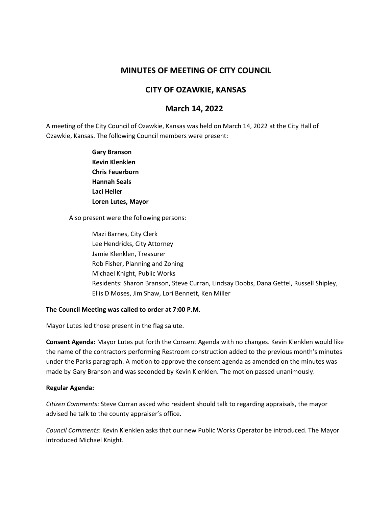# **MINUTES OF MEETING OF CITY COUNCIL**

## **CITY OF OZAWKIE, KANSAS**

# **March 14, 2022**

A meeting of the City Council of Ozawkie, Kansas was held on March 14, 2022 at the City Hall of Ozawkie, Kansas. The following Council members were present:

> **Gary Branson Kevin Klenklen Chris Feuerborn Hannah Seals Laci Heller Loren Lutes, Mayor**

Also present were the following persons:

Mazi Barnes, City Clerk Lee Hendricks, City Attorney Jamie Klenklen, Treasurer Rob Fisher, Planning and Zoning Michael Knight, Public Works Residents: Sharon Branson, Steve Curran, Lindsay Dobbs, Dana Gettel, Russell Shipley, Ellis D Moses, Jim Shaw, Lori Bennett, Ken Miller

#### **The Council Meeting was called to order at 7:00 P.M.**

Mayor Lutes led those present in the flag salute.

**Consent Agenda:** Mayor Lutes put forth the Consent Agenda with no changes. Kevin Klenklen would like the name of the contractors performing Restroom construction added to the previous month's minutes under the Parks paragraph. A motion to approve the consent agenda as amended on the minutes was made by Gary Branson and was seconded by Kevin Klenklen. The motion passed unanimously.

#### **Regular Agenda:**

*Citizen Comments*: Steve Curran asked who resident should talk to regarding appraisals, the mayor advised he talk to the county appraiser's office.

*Council Comments*: Kevin Klenklen asks that our new Public Works Operator be introduced. The Mayor introduced Michael Knight.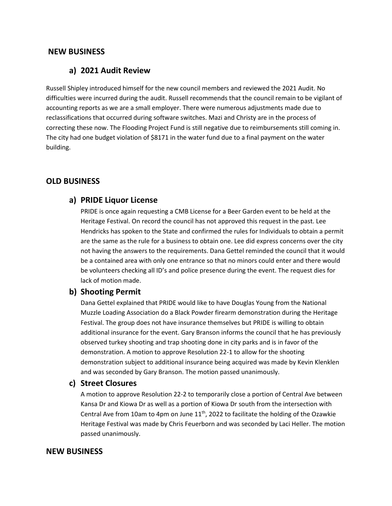## **NEW BUSINESS**

## **a) 2021 Audit Review**

Russell Shipley introduced himself for the new council members and reviewed the 2021 Audit. No difficulties were incurred during the audit. Russell recommends that the council remain to be vigilant of accounting reports as we are a small employer. There were numerous adjustments made due to reclassifications that occurred during software switches. Mazi and Christy are in the process of correcting these now. The Flooding Project Fund is still negative due to reimbursements still coming in. The city had one budget violation of \$8171 in the water fund due to a final payment on the water building.

### **OLD BUSINESS**

## **a) PRIDE Liquor License**

PRIDE is once again requesting a CMB License for a Beer Garden event to be held at the Heritage Festival. On record the council has not approved this request in the past. Lee Hendricks has spoken to the State and confirmed the rules for Individuals to obtain a permit are the same as the rule for a business to obtain one. Lee did express concerns over the city not having the answers to the requirements. Dana Gettel reminded the council that it would be a contained area with only one entrance so that no minors could enter and there would be volunteers checking all ID's and police presence during the event. The request dies for lack of motion made.

#### **b) Shooting Permit**

Dana Gettel explained that PRIDE would like to have Douglas Young from the National Muzzle Loading Association do a Black Powder firearm demonstration during the Heritage Festival. The group does not have insurance themselves but PRIDE is willing to obtain additional insurance for the event. Gary Branson informs the council that he has previously observed turkey shooting and trap shooting done in city parks and is in favor of the demonstration. A motion to approve Resolution 22-1 to allow for the shooting demonstration subject to additional insurance being acquired was made by Kevin Klenklen and was seconded by Gary Branson. The motion passed unanimously.

## **c) Street Closures**

A motion to approve Resolution 22-2 to temporarily close a portion of Central Ave between Kansa Dr and Kiowa Dr as well as a portion of Kiowa Dr south from the intersection with Central Ave from 10am to 4pm on June  $11<sup>th</sup>$ , 2022 to facilitate the holding of the Ozawkie Heritage Festival was made by Chris Feuerborn and was seconded by Laci Heller. The motion passed unanimously.

#### **NEW BUSINESS**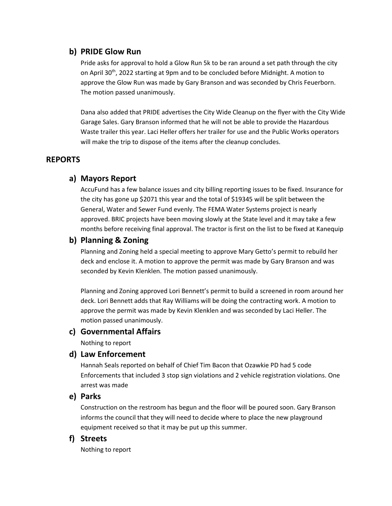## **b) PRIDE Glow Run**

Pride asks for approval to hold a Glow Run 5k to be ran around a set path through the city on April  $30^{th}$ , 2022 starting at 9pm and to be concluded before Midnight. A motion to approve the Glow Run was made by Gary Branson and was seconded by Chris Feuerborn. The motion passed unanimously.

Dana also added that PRIDE advertises the City Wide Cleanup on the flyer with the City Wide Garage Sales. Gary Branson informed that he will not be able to provide the Hazardous Waste trailer this year. Laci Heller offers her trailer for use and the Public Works operators will make the trip to dispose of the items after the cleanup concludes.

## **REPORTS**

## **a) Mayors Report**

AccuFund has a few balance issues and city billing reporting issues to be fixed. Insurance for the city has gone up \$2071 this year and the total of \$19345 will be split between the General, Water and Sewer Fund evenly. The FEMA Water Systems project is nearly approved. BRIC projects have been moving slowly at the State level and it may take a few months before receiving final approval. The tractor is first on the list to be fixed at Kanequip

## **b) Planning & Zoning**

Planning and Zoning held a special meeting to approve Mary Getto's permit to rebuild her deck and enclose it. A motion to approve the permit was made by Gary Branson and was seconded by Kevin Klenklen. The motion passed unanimously.

Planning and Zoning approved Lori Bennett's permit to build a screened in room around her deck. Lori Bennett adds that Ray Williams will be doing the contracting work. A motion to approve the permit was made by Kevin Klenklen and was seconded by Laci Heller. The motion passed unanimously.

## **c) Governmental Affairs**

Nothing to report

## **d) Law Enforcement**

Hannah Seals reported on behalf of Chief Tim Bacon that Ozawkie PD had 5 code Enforcements that included 3 stop sign violations and 2 vehicle registration violations. One arrest was made

## **e) Parks**

Construction on the restroom has begun and the floor will be poured soon. Gary Branson informs the council that they will need to decide where to place the new playground equipment received so that it may be put up this summer.

## **f) Streets**

Nothing to report